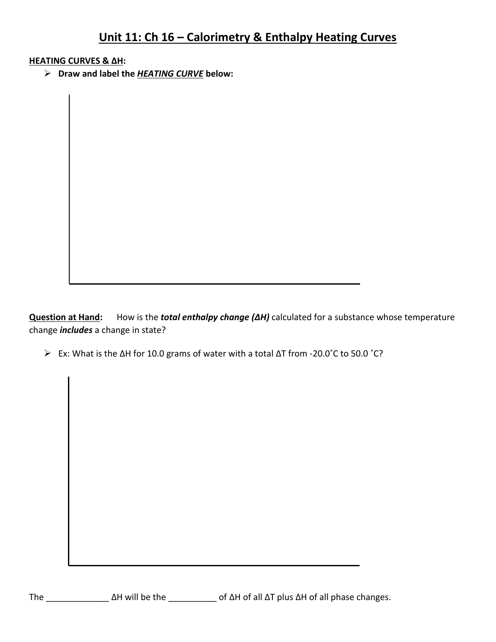## **Unit 11: Ch 16 – Calorimetry & Enthalpy Heating Curves**

## **HEATING CURVES & ΔH:**

**Draw and label the** *HEATING CURVE* **below:**

**Question at Hand:** How is the *total enthalpy change (ΔH)* calculated for a substance whose temperature change *includes* a change in state?

Ex: What is the ΔH for 10.0 grams of water with a total ΔT from -20.0˚C to 50.0 ˚C?

The \_\_\_\_\_\_\_\_\_\_\_\_\_ ΔH will be the \_\_\_\_\_\_\_\_\_\_ of ΔH of all ΔT plus ΔH of all phase changes.